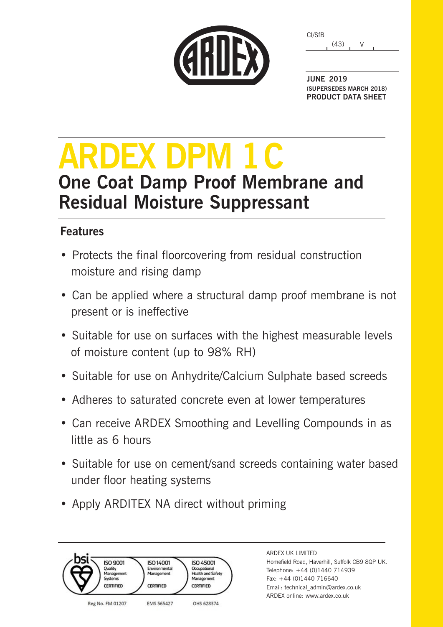|  | CARDEX |  |
|--|--------|--|

(43) V CI/SfB

**JUNE 2019 (SUPERSEDES MARCH 2018) PRODUCT DATA SHEET**

# **ARDEX DPM 1C One Coat Damp Proof Membrane and Residual Moisture Suppressant**

### **Features**

- Protects the final floorcovering from residual construction moisture and rising damp
- Can be applied where a structural damp proof membrane is not present or is ineffective
- Suitable for use on surfaces with the highest measurable levels of moisture content (up to 98% RH)
- Suitable for use on Anhydrite/Calcium Sulphate based screeds
- Adheres to saturated concrete even at lower temperatures
- Can receive ARDEX Smoothing and Levelling Compounds in as little as 6 hours
- Suitable for use on cement/sand screeds containing water based under floor heating systems
- Apply ARDITEX NA direct without priming



ARDEX UK LIMITED Homefield Road, Haverhill, Suffolk CB9 8QP UK. Telephone: +44 (0)1440 714939 Fax: +44 (0)1440 716640 Email: technical\_admin@ardex.co.uk ARDEX online: www.ardex.co.uk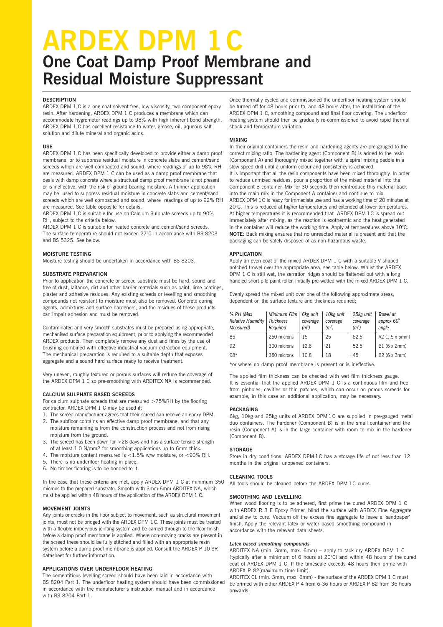## **ARDEX DPM 1C One Coat Damp Proof Membrane and Residual Moisture Suppressant**

#### **DESCRIPTION**

ARDEX DPM 1 C is a one coat solvent free, low viscosity, two component epoxy resin. After hardening, ARDEX DPM 1 C produces a membrane which can accommodate hygrometer readings up to 98% with high inherent bond strength. ARDEX DPM 1 C has excellent resistance to water, grease, oil, aqueous salt solution and dilute mineral and organic acids.

#### **USE**

ARDEX DPM 1 C has been specifically developed to provide either a damp proof membrane, or to suppress residual moisture in concrete slabs and cement/sand screeds which are well compacted and sound, where readings of up to 98% RH are measured. ARDEX DPM 1 C can be used as a damp proof membrane that deals with damp concrete where a structural damp proof membrane is not present or is ineffective, with the risk of ground bearing moisture. A thinner application may be used to suppress residual moisture in concrete slabs and cement/sand screeds which are well compacted and sound, where readings of up to 92% RH are measured. See table opposite for details.

ARDEX DPM 1 C is suitable for use on Calcium Sulphate screeds up to 90% RH, subject to the criteria below.

ARDEX DPM 1 C is suitable for heated concrete and cement/sand screeds. The surface temperature should not exceed 27°C in accordance with BS 8203 and BS 5325. See below.

#### **MOISTURE TESTING**

Moisture testing should be undertaken in accordance with BS 8203.

#### **SUBSTRATE PREPARATION**

Prior to application the concrete or screed substrate must be hard, sound and free of dust, laitance, dirt and other barrier materials such as paint, lime coatings, plaster and adhesive residues. Any existing screeds or levelling and smoothing compounds not resistant to moisture must also be removed. Concrete curing agents, admixtures and surface hardeners, and the residues of these products can impair adhesion and must be removed.

Contaminated and very smooth substrates must be prepared using appropriate, mechanised surface preparation equipment, prior to applying the recommended ARDEX products. Then completely remove any dust and fines by the use of brushing combined with effective industrial vacuum extraction equipment. The mechanical preparation is required to a suitable depth that exposes aggregate and a sound hard surface ready to receive treatment.

Very uneven, roughly textured or porous surfaces will reduce the coverage of the ARDEX DPM 1 C so pre-smoothing with ARDITEX NA is recommended.

#### **CALCIUM SULPHATE BASED SCREEDS**

For calcium sulphate screeds that are measured >75%RH by the flooring contractor, ARDEX DPM 1 C may be used if;

- 1. The screed manufacturer agrees that their screed can receive an epoxy DPM.
- 2. The subfloor contains an effective damp proof membrane, and that any moisture remaining is from the construction process and not from rising moisture from the ground.
- 3. The screed has been down for >28 days and has a surface tensile strength of at least 1.0 N/mm2 for smoothing applications up to 6mm thick.
- 4. The moisture content measured is <1.5% w/w moisture, or <90% RH.
- 5. There is no underfloor heating in place.
- 6. No timber flooring is to be bonded to it.

In the case that these criteria are met, apply ARDEX DPM 1 C at minimum 350 microns to the prepared substrate. Smooth with 3mm-6mm ARDITEX NA, which must be applied within 48 hours of the application of the ARDEX DPM 1 C.

#### **MOVEMENT JOINTS**

Any joints or cracks in the floor subject to movement, such as structural movement joints, must not be bridged with the ARDEX DPM 1C. These joints must be treated with a flexible impervious jointing system and be carried through to the floor finish before a damp proof membrane is applied. Where non-moving cracks are present in the screed these should be fully stitched and filled with an appropriate resin system before a damp proof membrane is applied. Consult the ARDEX P 10 SR datasheet for further information.

#### **APPLICATIONS OVER UNDERFLOOR HEATING**

The cementitious levelling screed should have been laid in accordance with BS 8204 Part 1. The underfloor heating system should have been commissioned in accordance with the manufacturer's instruction manual and in accordance with BS 8204 Part 1.

Once thermally cycled and commissioned the underfloor heating system should be turned off for 48 hours prior to, and 48 hours after, the installation of the ARDEX DPM 1 C, smoothing compound and final floor covering. The underfloor heating system should then be gradually re-commissioned to avoid rapid thermal shock and temperature variation.

#### **MIXING**

In their original containers the resin and hardening agents are pre-gauged to the correct mixing ratio. The hardening agent (Component B) is added to the resin (Component A) and thoroughly mixed together with a spiral mixing paddle in a slow speed drill until a uniform colour and consistency is achieved. It is important that all the resin components have been mixed thoroughly. In order to reduce unmixed residues, pour a proportion of the mixed material into the Component B container. Mix for 30 seconds then reintroduce this material back into the main mix in the Component A container and continue to mix. ARDEX DPM 1C is ready for immediate use and has a working time of 20 minutes at 20°C. This is reduced at higher temperatures and extended at lower temperatures. At higher temperatures it is recommended that ARDEX DPM 1C is spread out immediately after mixing, as the reaction is exothermic and the heat generated in the container will reduce the working time. Apply at temperatures above 10°C. **NOTE:** Back mixing ensures that no unreacted material is present and that the packaging can be safely disposed of as non-hazardous waste.

#### **APPLICATION**

Apply an even coat of the mixed ARDEX DPM 1 C with a suitable V shaped notched trowel over the appropriate area, see table below. Whilst the ARDEX DPM 1 C is still wet, the serration ridges should be flattened out with a long handled short pile paint roller, initially pre-wetted with the mixed ARDEX DPM 1 C.

Evenly spread the mixed unit over one of the following approximate areas, dependent on the surface texture and thickness required:

| % RH (Max<br><b>Relative Humidity</b><br>Measured) | Minimum Film<br><b>Thickness</b><br>Reauired | 6kg unit<br>coverage<br>(m <sup>2</sup> ) | 10kg unit<br>coverage<br>(m <sup>2</sup> ) | 25kg unit<br>coverage<br>(m <sup>2</sup> ) | Trowel at<br>approx 60 <sup>°</sup><br>angle |
|----------------------------------------------------|----------------------------------------------|-------------------------------------------|--------------------------------------------|--------------------------------------------|----------------------------------------------|
| 85                                                 | 250 microns                                  | 15                                        | 25                                         | 62.5                                       | A2 (1.5 x 5mm)                               |
| 92                                                 | 300 microns                                  | 126                                       | 21                                         | 52.5                                       | B1 (6 x 2mm)                                 |
| 98*                                                | 350 microns                                  | 10.8                                      | 18                                         | 45                                         | B2 (6 x 3mm)                                 |

\*or where no damp proof membrane is present or is ineffective.

The applied film thickness can be checked with wet film thickness gauge. It is essential that the applied ARDEX DPM 1 C is a continuous film and free from pinholes, cavities or thin patches, which can occur on porous screeds for example, in this case an additional application, may be necessary.

#### **PACKAGING**

6kg, 10kg and 25kg units of ARDEX DPM 1C are supplied in pre-gauged metal duo containers. The hardener (Component B) is in the small container and the resin (Component A) is in the large container with room to mix in the hardener (Component B).

#### **STORAGE**

Store in dry conditions. ARDEX DPM 1C has a storage life of not less than 12 months in the original unopened containers.

#### **CLEANING TOOLS**

All tools should be cleaned before the ARDEX DPM 1C cures.

#### **SMOOTHING AND LEVELLING**

When wood flooring is to be adhered, first prime the cured ARDEX DPM 1 C with ARDEX R 3 E Epoxy Primer, blind the surface with ARDEX Fine Aggregate and allow to cure. Vacuum off the excess fine aggregate to leave a 'sandpaper' finish. Apply the relevant latex or water based smoothing compound in accordance with the relevant data sheets.

#### *Latex based smoothing compounds*

ARDITEX NA (min. 3mm, max. 6mm) – apply to tack dry ARDEX DPM 1 C (typically after a minimum of 6 hours at 20°C) and within 48 hours of the cured coat of ARDEX DPM 1 C. If the timescale exceeds 48 hours then prime with ARDEX P 82(maximum time limit).

ARDITEX CL (min. 3mm, max. 6mm) - the surface of the ARDEX DPM 1 C must be primed with either ARDEX P 4 from 6-36 hours or ARDEX P 82 from 36 hours onwards.